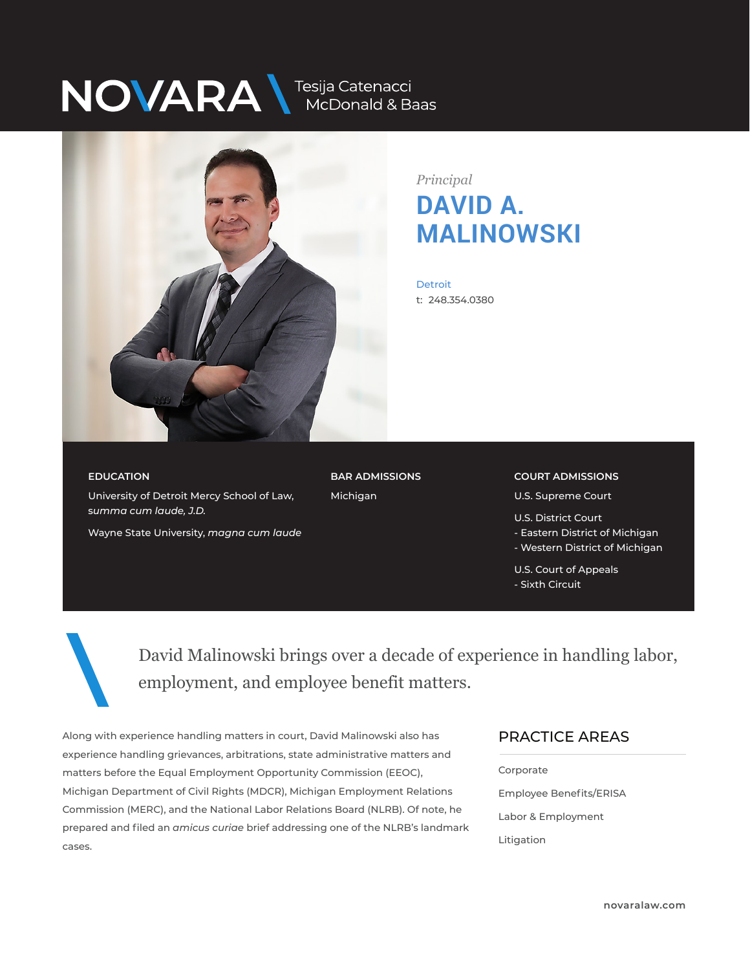# NOVARA MEDONALLA Baas



*Principal* **DAVID A. MALINOWSKI**

**Detroit** t: 248.354.0380

#### **EDUCATION**

University of Detroit Mercy School of Law, s*umma cum laude, J.D.*

Wayne State University, *magna cum laude*

**BAR ADMISSIONS** Michigan

**COURT ADMISSIONS** U.S. Supreme Court

U.S. District Court - Eastern District of Michigan - Western District of Michigan

U.S. Court of Appeals - Sixth Circuit

David Malinowski brings over a decade of experience in handling labor, employment, and employee benefit matters.

Along with experience handling matters in court, David Malinowski also has experience handling grievances, arbitrations, state administrative matters and matters before the Equal Employment Opportunity Commission (EEOC), Michigan Department of Civil Rights (MDCR), Michigan Employment Relations Commission (MERC), and the National Labor Relations Board (NLRB). Of note, he prepared and filed an *amicus curiae* brief addressing one of the NLRB's landmark cases.

#### PRACTICE AREAS  $\overline{\phantom{a}}$

Corporate Employee Benefits/ERISA Labor & Employment Litigation